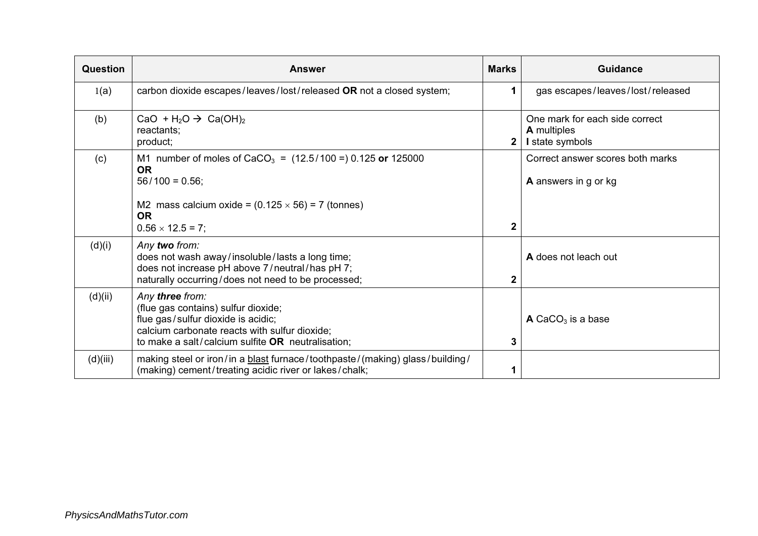| Question | <b>Answer</b>                                                                                                                                                                                                   | <b>Marks</b> | <b>Guidance</b>                                                         |
|----------|-----------------------------------------------------------------------------------------------------------------------------------------------------------------------------------------------------------------|--------------|-------------------------------------------------------------------------|
| 1(a)     | carbon dioxide escapes/leaves/lost/released OR not a closed system;                                                                                                                                             |              | gas escapes/leaves/lost/released                                        |
| (b)      | CaO + H <sub>2</sub> O $\rightarrow$ Ca(OH) <sub>2</sub><br>reactants;<br>product;                                                                                                                              |              | One mark for each side correct<br><b>A</b> multiples<br>I state symbols |
| (c)      | M1 number of moles of CaCO <sub>3</sub> = $(12.5/100 =) 0.125$ or 125000<br><b>OR</b><br>$56/100 = 0.56$ ;<br>M2 mass calcium oxide = $(0.125 \times 56)$ = 7 (tonnes)<br><b>OR</b><br>$0.56 \times 12.5 = 7$ ; | $\mathbf{2}$ | Correct answer scores both marks<br>A answers in g or kg                |
| (d)(i)   | Any two from:<br>does not wash away/insoluble/lasts a long time;<br>does not increase pH above 7/neutral/has pH 7;<br>naturally occurring/does not need to be processed;                                        | 2            | A does not leach out                                                    |
| (d)(ii)  | Any three from:<br>(flue gas contains) sulfur dioxide;<br>flue gas/sulfur dioxide is acidic;<br>calcium carbonate reacts with sulfur dioxide;<br>to make a salt/calcium sulfite $OR$ neutralisation;            | 3            | $\triangle$ CaCO <sub>3</sub> is a base                                 |
| (d)(iii) | making steel or iron/in a blast furnace/toothpaste/(making) glass/building/<br>(making) cement/treating acidic river or lakes/chalk;                                                                            |              |                                                                         |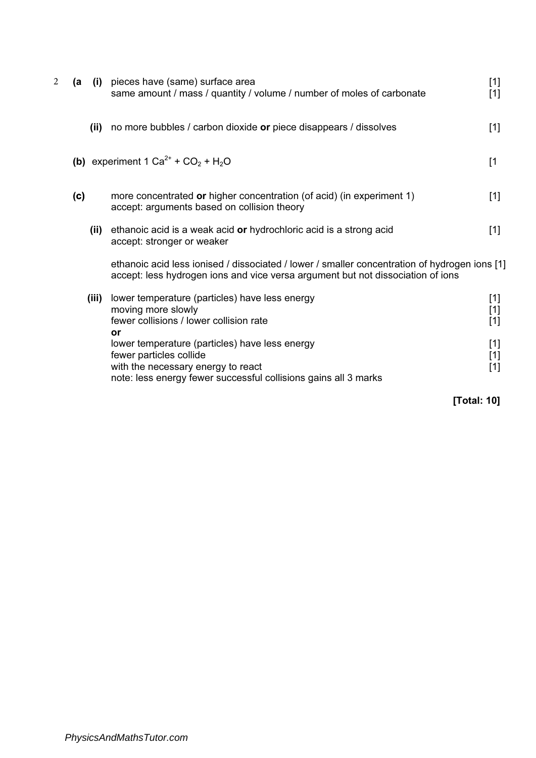| 2 | (a  |       | (i) pieces have (same) surface area<br>same amount / mass / quantity / volume / number of moles of carbonate                                                                       | $[1]$<br>$[1] % \includegraphics[width=0.9\columnwidth]{figures/fig_10.pdf} \caption{The figure shows the number of times on the left and right.} \label{fig:time}$ |
|---|-----|-------|------------------------------------------------------------------------------------------------------------------------------------------------------------------------------------|---------------------------------------------------------------------------------------------------------------------------------------------------------------------|
|   |     | (ii)  | no more bubbles / carbon dioxide or piece disappears / dissolves                                                                                                                   | $[1]$                                                                                                                                                               |
|   |     |       | (b) experiment 1 $Ca^{2+}$ + $CO_2$ + $H_2O$                                                                                                                                       | [1]                                                                                                                                                                 |
|   | (c) |       | more concentrated or higher concentration (of acid) (in experiment 1)<br>accept: arguments based on collision theory                                                               | $[1]$                                                                                                                                                               |
|   |     | (ii)  | ethanoic acid is a weak acid or hydrochloric acid is a strong acid<br>accept: stronger or weaker                                                                                   | $[1]$                                                                                                                                                               |
|   |     |       | ethanoic acid less ionised / dissociated / lower / smaller concentration of hydrogen ions [1]<br>accept: less hydrogen ions and vice versa argument but not dissociation of ions   |                                                                                                                                                                     |
|   |     | (iii) | lower temperature (particles) have less energy<br>moving more slowly<br>fewer collisions / lower collision rate<br>or                                                              | [1]<br>[1]<br>$[1]$                                                                                                                                                 |
|   |     |       | lower temperature (particles) have less energy<br>fewer particles collide<br>with the necessary energy to react<br>note: less energy fewer successful collisions gains all 3 marks | $[1]$<br>[1]<br>$[1]$                                                                                                                                               |

[Total: 10]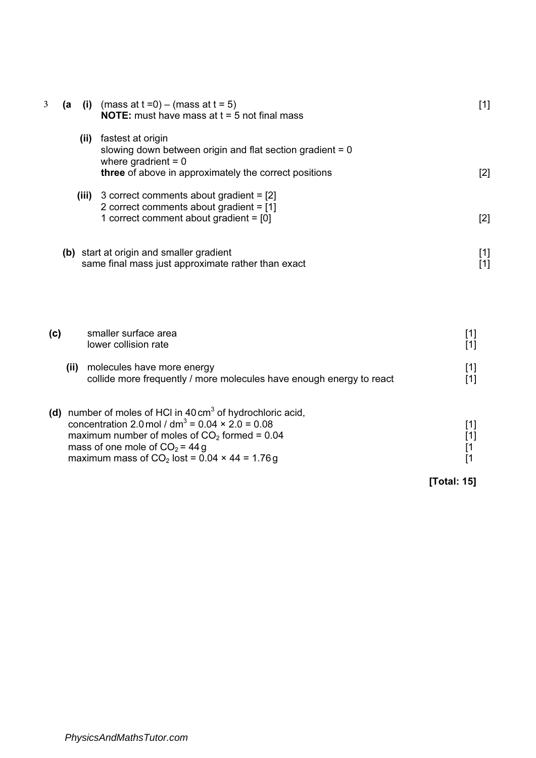| 3   | (a | (i) (mass at $t = 0$ ) – (mass at $t = 5$ )<br><b>NOTE:</b> must have mass at $t = 5$ not final mass                                                                                                                                                                              | $[1]$                                                |
|-----|----|-----------------------------------------------------------------------------------------------------------------------------------------------------------------------------------------------------------------------------------------------------------------------------------|------------------------------------------------------|
|     |    | (ii) fastest at origin<br>slowing down between origin and flat section gradient $= 0$<br>where gradrient $= 0$<br>three of above in approximately the correct positions                                                                                                           | [2]                                                  |
|     |    | (iii) 3 correct comments about gradient $= [2]$<br>2 correct comments about gradient $= [1]$<br>1 correct comment about gradient = $[0]$                                                                                                                                          | $[2]$                                                |
|     |    | (b) start at origin and smaller gradient<br>same final mass just approximate rather than exact                                                                                                                                                                                    | $[1]$<br>$[1]$                                       |
| (c) |    | smaller surface area<br>lower collision rate                                                                                                                                                                                                                                      | $[1]$<br>$[1]$                                       |
|     |    | (ii) molecules have more energy<br>collide more frequently / more molecules have enough energy to react                                                                                                                                                                           | $[1]$<br>$[1]$                                       |
|     |    | (d) number of moles of HCI in 40 cm <sup>3</sup> of hydrochloric acid,<br>concentration 2.0 mol / $dm^3 = 0.04 \times 2.0 = 0.08$<br>maximum number of moles of $CO2$ formed = 0.04<br>mass of one mole of $CO2 = 44 g$<br>maximum mass of $CO2$ lost = 0.04 $\times$ 44 = 1.76 g | $[1]$<br>$[1]$<br>[1]<br>$\mathsf{I}$<br>[Total: 15] |